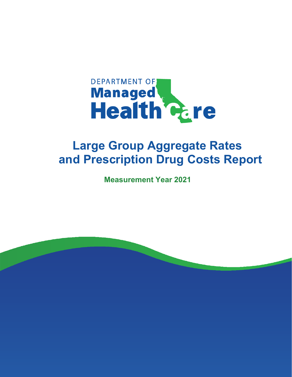

# **Large Group Aggregate Rates and Prescription Drug Costs Report**

**Measurement Year 2021**

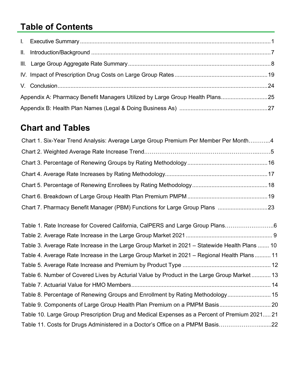## **Table of Contents**

| Appendix A: Pharmacy Benefit Managers Utilized by Large Group Health Plans25 |  |
|------------------------------------------------------------------------------|--|
|                                                                              |  |

## **Chart and Tables**

| Chart 1. Six-Year Trend Analysis: Average Large Group Premium Per Member Per Month4           |  |
|-----------------------------------------------------------------------------------------------|--|
|                                                                                               |  |
|                                                                                               |  |
|                                                                                               |  |
|                                                                                               |  |
|                                                                                               |  |
| Chart 7. Pharmacy Benefit Manager (PBM) Functions for Large Group Plans 23                    |  |
| Table 1. Rate Increase for Covered California, CalPERS and Large Group Plans6                 |  |
|                                                                                               |  |
| Table 3. Average Rate Increase in the Large Group Market in 2021 – Statewide Health Plans  10 |  |
| Table 4. Average Rate Increase in the Large Group Market in 2021 - Regional Health Plans 11   |  |
|                                                                                               |  |
| Table 6. Number of Covered Lives by Acturial Value by Product in the Large Group Market 13    |  |
|                                                                                               |  |
| Table 8. Percentage of Renewing Groups and Enrollment by Rating Methodology 15                |  |
| Table 9. Components of Large Group Health Plan Premium on a PMPM Basis 20                     |  |
| Table 10. Large Group Prescription Drug and Medical Expenses as a Percent of Premium 2021 21  |  |
| Table 11. Costs for Drugs Administered in a Doctor's Office on a PMPM Basis22                 |  |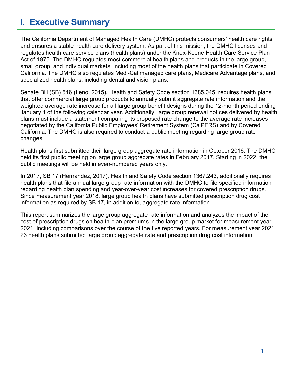## **I. Executive Summary**

The California Department of Managed Health Care (DMHC) protects consumers' health care rights and ensures a stable health care delivery system. As part of this mission, the DMHC licenses and regulates health care service plans (health plans) under the Knox-Keene Health Care Service Plan Act of 1975. The DMHC regulates most commercial health plans and products in the large group, small group, and individual markets, including most of the health plans that participate in Covered California. The DMHC also regulates Medi-Cal managed care plans, Medicare Advantage plans, and specialized health plans, including dental and vision plans.

Senate Bill (SB) 546 (Leno, 2015), Health and Safety Code section 1385.045, requires health plans that offer commercial large group products to annually submit aggregate rate information and the weighted average rate increase for all large group benefit designs during the 12-month period ending January 1 of the following calendar year. Additionally, large group renewal notices delivered by health plans must include a statement comparing its proposed rate change to the average rate increases negotiated by the California Public Employees' Retirement System (CalPERS) and by Covered California. The DMHC is also required to conduct a public meeting regarding large group rate changes.

Health plans first submitted their large group aggregate rate information in October 2016. The DMHC held its first public meeting on large group aggregate rates in February 2017. Starting in 2022, the public meetings will be held in even-numbered years only.

In 2017, SB 17 (Hernandez, 2017), Health and Safety Code section 1367.243, additionally requires health plans that file annual large group rate information with the DMHC to file specified information regarding health plan spending and year-over-year cost increases for covered prescription drugs. Since measurement year 2018, large group health plans have submitted prescription drug cost information as required by SB 17, in addition to, aggregate rate information.

This report summarizes the large group aggregate rate information and analyzes the impact of the cost of prescription drugs on health plan premiums in the large group market for measurement year 2021, including comparisons over the course of the five reported years. For measurement year 2021, 23 health plans submitted large group aggregate rate and prescription drug cost information.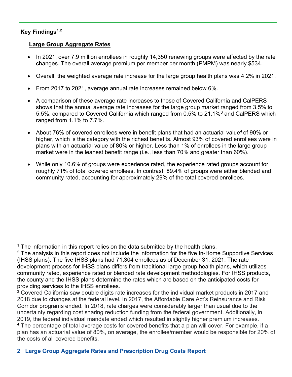### **Key Findings1,2**

#### **Large Group Aggregate Rates**

- In 2021, over 7.9 million enrollees in roughly 14,350 renewing groups were affected by the rate changes. The overall average premium per member per month (PMPM) was nearly \$534.
- Overall, the weighted average rate increase for the large group health plans was 4.2% in 2021.
- From 2017 to 2021, average annual rate increases remained below 6%.
- A comparison of these average rate increases to those of Covered California and CalPERS shows that the annual average rate increases for the large group market ranged from 3.5% to 5.5%, compared to Covered California which ranged from 0.5% to 21.1%3 and CalPERS which ranged from 1.1% to 7.7%.
- About 76% of covered enrollees were in benefit plans that had an actuarial value<sup>4</sup> of 90% or higher, which is the category with the richest benefits. Almost 93% of covered enrollees were in plans with an actuarial value of 80% or higher. Less than 1% of enrollees in the large group market were in the leanest benefit range (i.e., less than 70% and greater than 60%).
- While only 10.6% of groups were experience rated, the experience rated groups account for roughly 71% of total covered enrollees. In contrast, 89.4% of groups were either blended and community rated, accounting for approximately 29% of the total covered enrollees.

 $1$  The information in this report relies on the data submitted by the health plans.

 $2$  The analysis in this report does not include the information for the five In-Home Supportive Services (IHSS plans). The five IHSS plans had 71,304 enrollees as of December 31, 2021. The rate development process for IHSS plans differs from traditional large group health plans, which utilizes community rated, experience rated or blended rate development methodologies. For IHSS products, the county and the IHSS plans determine the rates which are based on the anticipated costs for providing services to the IHSS enrollees.

<sup>&</sup>lt;sup>3</sup> Covered California saw double digits rate increases for the individual market products in 2017 and 2018 due to changes at the federal level. In 2017, the Affordable Care Act's Reinsurance and Risk Corridor programs ended. In 2018, rate charges were considerably larger than usual due to the uncertainty regarding cost sharing reduction funding from the federal government. Additionally, in 2019, the federal individual mandate ended which resulted in slightly higher premium increases. <sup>4</sup> The percentage of total average costs for covered benefits that a plan will cover. For example, if a plan has an actuarial value of 80%, on average, the enrollee/member would be responsible for 20% of the costs of all covered benefits.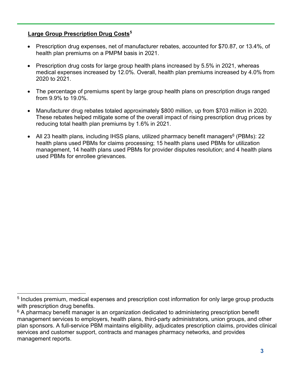## **Large Group Prescription Drug Costs<sup>5</sup>**

- Prescription drug expenses, net of manufacturer rebates, accounted for \$70.87, or 13.4%, of health plan premiums on a PMPM basis in 2021.
- Prescription drug costs for large group health plans increased by 5.5% in 2021, whereas medical expenses increased by 12.0%. Overall, health plan premiums increased by 4.0% from 2020 to 2021.
- The percentage of premiums spent by large group health plans on prescription drugs ranged from 9.9% to 19.0%.
- Manufacturer drug rebates totaled approximately \$800 million, up from \$703 million in 2020. These rebates helped mitigate some of the overall impact of rising prescription drug prices by reducing total health plan premiums by 1.6% in 2021.
- All 23 health plans, including IHSS plans, utilized pharmacy benefit managers<sup>6</sup> (PBMs): 22 health plans used PBMs for claims processing; 15 health plans used PBMs for utilization management, 14 health plans used PBMs for provider disputes resolution; and 4 health plans used PBMs for enrollee grievances.

<sup>&</sup>lt;sup>5</sup> Includes premium, medical expenses and prescription cost information for only large group products with prescription drug benefits.

 $6$  A pharmacy benefit manager is an organization dedicated to administering prescription benefit management services to employers, health plans, third-party administrators, union groups, and other plan sponsors. A full-service PBM maintains eligibility, adjudicates prescription claims, provides clinical services and customer support, contracts and manages pharmacy networks, and provides management reports.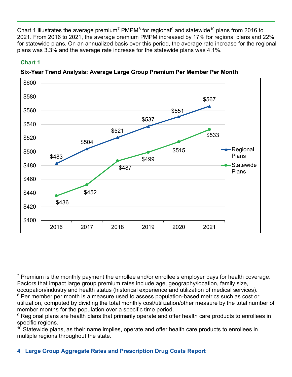Chart 1 illustrates the average premium<sup>7</sup> PMPM<sup>8</sup> for regional<sup>9</sup> and statewide<sup>10</sup> plans from 2016 to 2021. From 2016 to 2021, the average premium PMPM increased by 17% for regional plans and 22% for statewide plans. On an annualized basis over this period, the average rate increase for the regional plans was 3.3% and the average rate increase for the statewide plans was 4.1%.

### **Chart 1**



**Six-Year Trend Analysis: Average Large Group Premium Per Member Per Month**

member months for the population over a specific time period.

 $7$  Premium is the monthly payment the enrollee and/or enrollee's employer pays for health coverage. Factors that impact large group premium rates include age, geography/location, family size, occupation/industry and health status (historical experience and utilization of medical services). <sup>8</sup> Per member per month is a measure used to assess population-based metrics such as cost or utilization, computed by dividing the total monthly cost/utilization/other measure by the total number of

<sup>&</sup>lt;sup>9</sup> Regional plans are health plans that primarily operate and offer health care products to enrollees in specific regions.

 $10$  Statewide plans, as their name implies, operate and offer health care products to enrollees in multiple regions throughout the state.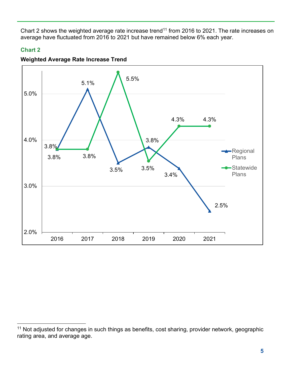Chart 2 shows the weighted average rate increase trend<sup>11</sup> from 2016 to 2021. The rate increases on average have fluctuated from 2016 to 2021 but have remained below 6% each year.

#### **Chart 2**



#### **Weighted Average Rate Increase Trend**

<sup>&</sup>lt;sup>11</sup> Not adjusted for changes in such things as benefits, cost sharing, provider network, geographic rating area, and average age.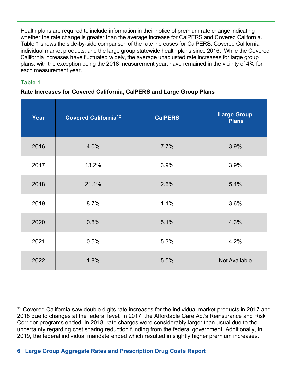Health plans are required to include information in their notice of premium rate change indicating whether the rate change is greater than the average increase for CalPERS and Covered California. Table 1 shows the side-by-side comparison of the rate increases for CalPERS, Covered California individual market products, and the large group statewide health plans since 2016. While the Covered California increases have fluctuated widely, the average unadjusted rate increases for large group plans, with the exception being the 2018 measurement year, have remained in the vicinity of 4% for each measurement year.

#### **Table 1**

#### **Rate Increases for Covered California, CalPERS and Large Group Plans**

| Year | <b>Covered California<sup>12</sup></b> | <b>CalPERS</b> | <b>Large Group</b><br><b>Plans</b> |
|------|----------------------------------------|----------------|------------------------------------|
| 2016 | 4.0%                                   | 7.7%           | 3.9%                               |
| 2017 | 13.2%                                  | 3.9%           | 3.9%                               |
| 2018 | 21.1%                                  | 2.5%           | 5.4%                               |
| 2019 | 8.7%                                   | 1.1%           | 3.6%                               |
| 2020 | 0.8%                                   | 5.1%           | 4.3%                               |
| 2021 | 0.5%                                   | 5.3%           | 4.2%                               |
| 2022 | 1.8%                                   | 5.5%           | <b>Not Available</b>               |

<sup>&</sup>lt;sup>12</sup> Covered California saw double digits rate increases for the individual market products in 2017 and 2018 due to changes at the federal level. In 2017, the Affordable Care Act's Reinsurance and Risk Corridor programs ended. In 2018, rate charges were considerably larger than usual due to the uncertainty regarding cost sharing reduction funding from the federal government. Additionally, in 2019, the federal individual mandate ended which resulted in slightly higher premium increases.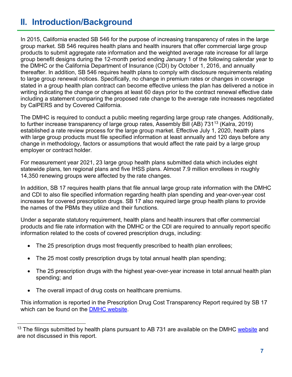## **II. Introduction/Background**

In 2015, California enacted SB 546 for the purpose of increasing transparency of rates in the large group market. SB 546 requires health plans and health insurers that offer commercial large group products to submit aggregate rate information and the weighted average rate increase for all large group benefit designs during the 12-month period ending January 1 of the following calendar year to the DMHC or the California Department of Insurance (CDI) by October 1, 2016, and annually thereafter. In addition, SB 546 requires health plans to comply with disclosure requirements relating to large group renewal notices. Specifically, no change in premium rates or changes in coverage stated in a group health plan contract can become effective unless the plan has delivered a notice in writing indicating the change or changes at least 60 days prior to the contract renewal effective date including a statement comparing the proposed rate change to the average rate increases negotiated by CalPERS and by Covered California.

The DMHC is required to conduct a public meeting regarding large group rate changes. Additionally, to further increase transparency of large group rates, Assembly Bill (AB) 731<sup>13</sup> (Kalra, 2019) established a rate review process for the large group market. Effective July 1, 2020, health plans with large group products must file specified information at least annually and 120 days before any change in methodology, factors or assumptions that would affect the rate paid by a large group employer or contract holder.

For measurement year 2021, 23 large group health plans submitted data which includes eight statewide plans, ten regional plans and five IHSS plans. Almost 7.9 million enrollees in roughly 14,350 renewing groups were affected by the rate changes.

In addition, SB 17 requires health plans that file annual large group rate information with the DMHC and CDI to also file specified information regarding health plan spending and year-over-year cost increases for covered prescription drugs. SB 17 also required large group health plans to provide the names of the PBMs they utilize and their functions.

Under a separate statutory requirement, health plans and health insurers that offer commercial products and file rate information with the DMHC or the CDI are required to annually report specific information related to the costs of covered prescription drugs, including:

- The 25 prescription drugs most frequently prescribed to health plan enrollees;
- The 25 most costly prescription drugs by total annual health plan spending;
- The 25 prescription drugs with the highest year-over-year increase in total annual health plan spending; and
- The overall impact of drug costs on healthcare premiums.

This information is reported in the Prescription Drug Cost Transparency Report required by SB 17 which can be found on the **DMHC** website.

 $13$  The filings submitted by health plans pursuant to AB 731 are available on the DMHC [website](https://wpso.dmhc.ca.gov/premiumratereview/searchratefilings) and are not discussed in this report.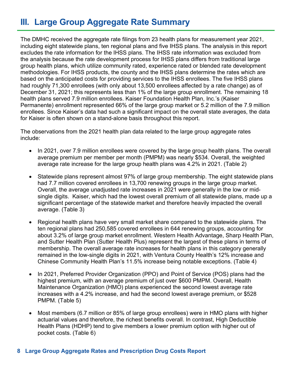## **III. Large Group Aggregate Rate Summary**

The DMHC received the aggregate rate filings from 23 health plans for measurement year 2021, including eight statewide plans, ten regional plans and five IHSS plans. The analysis in this report excludes the rate information for the IHSS plans. The IHSS rate information was excluded from the analysis because the rate development process for IHSS plans differs from traditional large group health plans, which utilize community rated, experience rated or blended rate development methodologies. For IHSS products, the county and the IHSS plans determine the rates which are based on the anticipated costs for providing services to the IHSS enrollees. The five IHSS plans had roughly 71,300 enrollees (with only about 13,500 enrollees affected by a rate change) as of December 31, 2021; this represents less than 1% of the large group enrollment. The remaining 18 health plans served 7.9 million enrollees. Kaiser Foundation Health Plan, Inc.'s (Kaiser Permanente) enrollment represented 66% of the large group market or 5.2 million of the 7.9 million enrollees. Since Kaiser's data had such a significant impact on the overall state averages, the data for Kaiser is often shown on a stand-alone basis throughout this report.

The observations from the 2021 health plan data related to the large group aggregate rates include:

- In 2021, over 7.9 million enrollees were covered by the large group health plans. The overall average premium per member per month (PMPM) was nearly \$534. Overall, the weighted average rate increase for the large group health plans was 4.2% in 2021. (Table 2)
- Statewide plans represent almost 97% of large group membership. The eight statewide plans had 7.7 million covered enrollees in 13,700 renewing groups in the large group market. Overall, the average unadjusted rate increases in 2021 were generally in the low or midsingle digits. Kaiser, which had the lowest overall premium of all statewide plans, made up a significant percentage of the statewide market and therefore heavily impacted the overall average. (Table 3)
- Regional health plans have very small market share compared to the statewide plans. The ten regional plans had 250,585 covered enrollees in 644 renewing groups, accounting for about 3.2% of large group market enrollment. Western Health Advantage, Sharp Health Plan, and Sutter Health Plan (Sutter Health Plus) represent the largest of these plans in terms of membership. The overall average rate increases for health plans in this category generally remained in the low-single digits in 2021, with Ventura County Health's 12% increase and Chinese Community Health Plan's 11.5% increase being notable exceptions. (Table 4)
- In 2021, Preferred Provider Organization (PPO) and Point of Service (POS) plans had the highest premium, with an average premium of just over \$600 PMPM. Overall, Health Maintenance Organization (HMO) plans experienced the second lowest average rate increases with a 4.2% increase, and had the second lowest average premium, or \$528 PMPM. (Table 5)
- Most members (6.7 million or 85% of large group enrollees) were in HMO plans with higher actuarial values and therefore, the richest benefits overall. In contrast, High Deductible Health Plans (HDHP) tend to give members a lower premium option with higher out of pocket costs. (Table 6)

#### **8 Large Group Aggregate Rates and Prescription Drug Costs Report**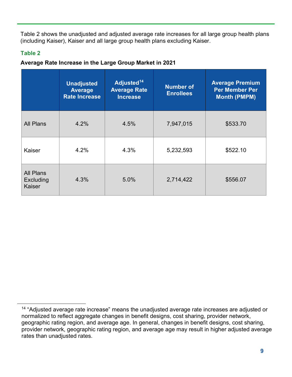Table 2 shows the unadjusted and adjusted average rate increases for all large group health plans (including Kaiser), Kaiser and all large group health plans excluding Kaiser.

### **Table 2**

### **Average Rate Increase in the Large Group Market in 2021**

|                                                | <b>Unadjusted</b><br><b>Average</b><br><b>Rate Increase</b> | Adjusted <sup>14</sup><br><b>Average Rate</b><br><b>Increase</b> | <b>Number of</b><br><b>Enrollees</b> | <b>Average Premium</b><br><b>Per Member Per</b><br><b>Month (PMPM)</b> |
|------------------------------------------------|-------------------------------------------------------------|------------------------------------------------------------------|--------------------------------------|------------------------------------------------------------------------|
| <b>All Plans</b>                               | 4.2%                                                        | 4.5%                                                             | 7,947,015                            | \$533.70                                                               |
| Kaiser                                         | 4.2%                                                        | 4.3%                                                             | 5,232,593                            | \$522.10                                                               |
| <b>All Plans</b><br><b>Excluding</b><br>Kaiser | 4.3%                                                        | 5.0%                                                             | 2,714,422                            | \$556.07                                                               |

<sup>&</sup>lt;sup>14</sup> "Adjusted average rate increase" means the unadjusted average rate increases are adjusted or normalized to reflect aggregate changes in benefit designs, cost sharing, provider network, geographic rating region, and average age. In general, changes in benefit designs, cost sharing, provider network, geographic rating region, and average age may result in higher adjusted average rates than unadjusted rates.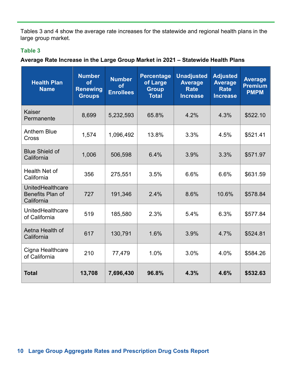Tables 3 and 4 show the average rate increases for the statewide and regional health plans in the large group market.

#### **Table 3**

**Average Rate Increase in the Large Group Market in 2021 – Statewide Health Plans**

| <b>Health Plan</b><br><b>Name</b>                         | <b>Number</b><br><b>of</b><br><b>Renewing</b><br><b>Groups</b> | <b>Number</b><br><b>of</b><br><b>Enrollees</b> | <b>Percentage</b><br>of Large<br><b>Group</b><br><b>Total</b> | <b>Unadjusted</b><br><b>Average</b><br><b>Rate</b><br><b>Increase</b> | <b>Adjusted</b><br><b>Average</b><br><b>Rate</b><br><b>Increase</b> | <b>Average</b><br><b>Premium</b><br><b>PMPM</b> |
|-----------------------------------------------------------|----------------------------------------------------------------|------------------------------------------------|---------------------------------------------------------------|-----------------------------------------------------------------------|---------------------------------------------------------------------|-------------------------------------------------|
| Kaiser<br>Permanente                                      | 8,699                                                          | 5,232,593                                      | 65.8%                                                         | 4.2%                                                                  | 4.3%                                                                | \$522.10                                        |
| <b>Anthem Blue</b><br>Cross                               | 1,574                                                          | 1,096,492                                      | 13.8%                                                         | 3.3%                                                                  | 4.5%                                                                | \$521.41                                        |
| <b>Blue Shield of</b><br>California                       | 1,006                                                          | 506,598                                        | 6.4%                                                          | 3.9%                                                                  | 3.3%                                                                | \$571.97                                        |
| Health Net of<br>California                               | 356                                                            | 275,551                                        | 3.5%                                                          | 6.6%                                                                  | 6.6%                                                                | \$631.59                                        |
| <b>UnitedHealthcare</b><br>Benefits Plan of<br>California | 727                                                            | 191,346                                        | 2.4%                                                          | 8.6%                                                                  | 10.6%                                                               | \$578.84                                        |
| UnitedHealthcare<br>of California                         | 519                                                            | 185,580                                        | 2.3%                                                          | 5.4%                                                                  | 6.3%                                                                | \$577.84                                        |
| Aetna Health of<br>California                             | 617                                                            | 130,791                                        | 1.6%                                                          | 3.9%                                                                  | 4.7%                                                                | \$524.81                                        |
| Cigna Healthcare<br>of California                         | 210                                                            | 77,479                                         | 1.0%                                                          | 3.0%                                                                  | 4.0%                                                                | \$584.26                                        |
| <b>Total</b>                                              | 13,708                                                         | 7,696,430                                      | 96.8%                                                         | 4.3%                                                                  | 4.6%                                                                | \$532.63                                        |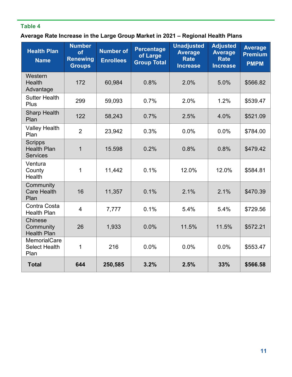## **Table 4**

## **Average Rate Increase in the Large Group Market in 2021 – Regional Health Plans**

| <b>Health Plan</b><br><b>Name</b>                       | <b>Number</b><br>of<br><b>Renewing</b><br><b>Groups</b> | <b>Number of</b><br><b>Enrollees</b> | <b>Percentage</b><br>of Large<br><b>Group Total</b> | <b>Unadjusted</b><br><b>Average</b><br><b>Rate</b><br><b>Increase</b> | <b>Adjusted</b><br><b>Average</b><br><b>Rate</b><br><b>Increase</b> | <b>Average</b><br><b>Premium</b><br><b>PMPM</b> |
|---------------------------------------------------------|---------------------------------------------------------|--------------------------------------|-----------------------------------------------------|-----------------------------------------------------------------------|---------------------------------------------------------------------|-------------------------------------------------|
| Western<br>Health<br>Advantage                          | 172                                                     | 60,984                               | 0.8%                                                | 2.0%                                                                  | 5.0%                                                                | \$566.82                                        |
| <b>Sutter Health</b><br>Plus                            | 299                                                     | 59,093                               | 0.7%                                                | 2.0%                                                                  | 1.2%                                                                | \$539.47                                        |
| <b>Sharp Health</b><br>Plan                             | 122                                                     | 58,243                               | 0.7%                                                | 2.5%                                                                  | 4.0%                                                                | \$521.09                                        |
| <b>Valley Health</b><br>Plan                            | $\overline{2}$                                          | 23,942                               | 0.3%                                                | 0.0%                                                                  | 0.0%                                                                | \$784.00                                        |
| <b>Scripps</b><br><b>Health Plan</b><br><b>Services</b> | $\mathbf{1}$                                            | 15.598                               | 0.2%                                                | 0.8%                                                                  | 0.8%                                                                | \$479.42                                        |
| Ventura<br>County<br>Health                             | $\mathbf{1}$                                            | 11,442                               | 0.1%                                                | 12.0%                                                                 | 12.0%                                                               | \$584.81                                        |
| Community<br><b>Care Health</b><br>Plan                 | 16                                                      | 11,357                               | 0.1%                                                | 2.1%                                                                  | 2.1%                                                                | \$470.39                                        |
| Contra Costa<br><b>Health Plan</b>                      | $\overline{4}$                                          | 7,777                                | 0.1%                                                | 5.4%                                                                  | 5.4%                                                                | \$729.56                                        |
| Chinese<br>Community<br><b>Health Plan</b>              | 26                                                      | 1,933                                | 0.0%                                                | 11.5%                                                                 | 11.5%                                                               | \$572.21                                        |
| <b>MemorialCare</b><br><b>Select Health</b><br>Plan     | 1                                                       | 216                                  | 0.0%                                                | 0.0%                                                                  | 0.0%                                                                | \$553.47                                        |
| <b>Total</b>                                            | 644                                                     | 250,585                              | 3.2%                                                | 2.5%                                                                  | 33%                                                                 | \$566.58                                        |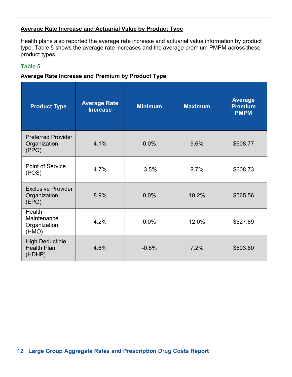#### **Average Rate Increase and Actuarial Value by Product Type**

Health plans also reported the average rate increase and actuarial value information by product type. Table 5 shows the average rate increases and the average premium PMPM across these product types.

#### **Table 5**

#### **Average Rate Increase and Premium by Product Type**

| <b>Product Type</b>                                    | <b>Average Rate</b><br><b>Increase</b> | <b>Minimum</b> | <b>Maximum</b> | <b>Average</b><br><b>Premium</b><br><b>PMPM</b> |
|--------------------------------------------------------|----------------------------------------|----------------|----------------|-------------------------------------------------|
| <b>Preferred Provider</b><br>Organization<br>(PPO)     | 4.1%                                   | 0.0%           | 9.6%           | \$608.77                                        |
| <b>Point of Service</b><br>(POS)                       | 4.7%                                   | $-3.5%$        | 8.7%           | \$608.73                                        |
| <b>Exclusive Provider</b><br>Organization<br>(EPO)     | 8.9%                                   | 0.0%           | 10.2%          | \$565.56                                        |
| Health<br>Maintenance<br>Organization<br>(HMO)         | 4.2%                                   | 0.0%           | 12.0%          | \$527.69                                        |
| <b>High Deductible</b><br><b>Health Plan</b><br>(HDHP) | 4.6%                                   | $-0.8%$        | 7.2%           | \$503.60                                        |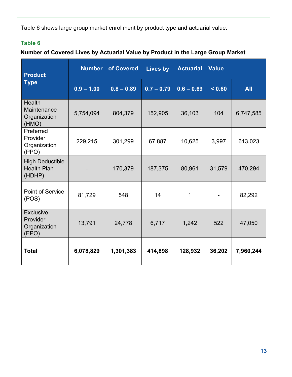Table 6 shows large group market enrollment by product type and actuarial value.

## **Table 6**

## **Number of Covered Lives by Actuarial Value by Product in the Large Group Market**

| <b>Product</b>                                         | <b>Number</b> | of Covered   | Lives by     | <b>Actuarial</b> | <b>Value</b> |            |
|--------------------------------------------------------|---------------|--------------|--------------|------------------|--------------|------------|
| <b>Type</b>                                            | $0.9 - 1.00$  | $0.8 - 0.89$ | $0.7 - 0.79$ | $0.6 - 0.69$     | 0.60         | <b>All</b> |
| <b>Health</b><br>Maintenance<br>Organization<br>(HMO)  | 5,754,094     | 804,379      | 152,905      | 36,103           | 104          | 6,747,585  |
| Preferred<br>Provider<br>Organization<br>(PPO)         | 229,215       | 301,299      | 67,887       | 10,625           | 3,997        | 613,023    |
| <b>High Deductible</b><br><b>Health Plan</b><br>(HDHP) |               | 170,379      | 187,375      | 80,961           | 31,579       | 470,294    |
| <b>Point of Service</b><br>(POS)                       | 81,729        | 548          | 14           | 1                |              | 82,292     |
| <b>Exclusive</b><br>Provider<br>Organization<br>(EPO)  | 13,791        | 24,778       | 6,717        | 1,242            | 522          | 47,050     |
| <b>Total</b>                                           | 6,078,829     | 1,301,383    | 414,898      | 128,932          | 36,202       | 7,960,244  |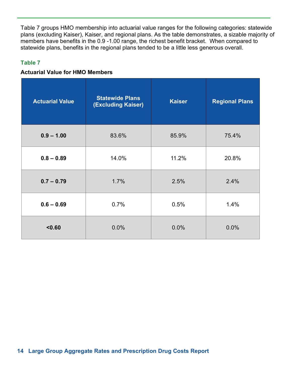Table 7 groups HMO membership into actuarial value ranges for the following categories: statewide plans (excluding Kaiser), Kaiser, and regional plans. As the table demonstrates, a sizable majority of members have benefits in the 0.9 -1.00 range, the richest benefit bracket. When compared to statewide plans, benefits in the regional plans tended to be a little less generous overall.

#### **Table 7**

#### **Actuarial Value for HMO Members**

| <b>Actuarial Value</b> | <b>Statewide Plans</b><br>(Excluding Kaiser) | <b>Kaiser</b> | <b>Regional Plans</b> |  |
|------------------------|----------------------------------------------|---------------|-----------------------|--|
| $0.9 - 1.00$           | 83.6%                                        | 85.9%         | 75.4%                 |  |
| $0.8 - 0.89$           | 14.0%                                        | 11.2%         | 20.8%                 |  |
| $0.7 - 0.79$           | 1.7%                                         | 2.5%          | 2.4%                  |  |
| $0.6 - 0.69$           | 0.7%                                         | 0.5%          | 1.4%                  |  |
| < 0.60                 | 0.0%                                         | 0.0%          | 0.0%                  |  |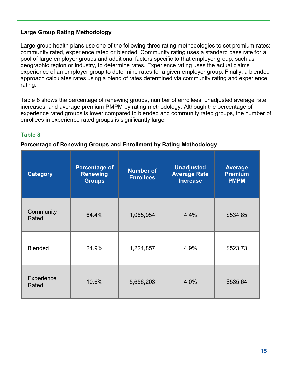#### **Large Group Rating Methodology**

Large group health plans use one of the following three rating methodologies to set premium rates: community rated, experience rated or blended. Community rating uses a standard base rate for a pool of large employer groups and additional factors specific to that employer group, such as geographic region or industry, to determine rates. Experience rating uses the actual claims experience of an employer group to determine rates for a given employer group. Finally, a blended approach calculates rates using a blend of rates determined via community rating and experience rating.

Table 8 shows the percentage of renewing groups, number of enrollees, unadjusted average rate increases, and average premium PMPM by rating methodology. Although the percentage of experience rated groups is lower compared to blended and community rated groups, the number of enrollees in experience rated groups is significantly larger.

#### **Table 8**

#### **Percentage of Renewing Groups and Enrollment by Rating Methodology**

| <b>Category</b>     | <b>Percentage of</b><br><b>Renewing</b><br><b>Groups</b> | <b>Number of</b><br><b>Enrollees</b> | <b>Unadjusted</b><br><b>Average Rate</b><br><b>Increase</b> | <b>Average</b><br><b>Premium</b><br><b>PMPM</b> |
|---------------------|----------------------------------------------------------|--------------------------------------|-------------------------------------------------------------|-------------------------------------------------|
| Community<br>Rated  | 64.4%                                                    | 1,065,954                            | 4.4%                                                        | \$534.85                                        |
| <b>Blended</b>      | 24.9%                                                    | 1,224,857                            | 4.9%                                                        | \$523.73                                        |
| Experience<br>Rated | 10.6%                                                    | 5,656,203                            | 4.0%                                                        | \$535.64                                        |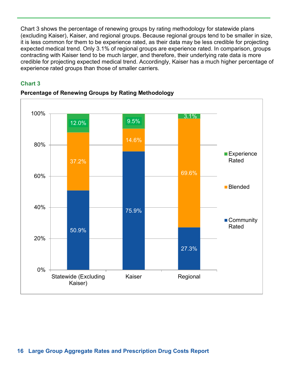Chart 3 shows the percentage of renewing groups by rating methodology for statewide plans (excluding Kaiser), Kaiser, and regional groups. Because regional groups tend to be smaller in size, it is less common for them to be experience rated, as their data may be less credible for projecting expected medical trend. Only 3.1% of regional groups are experience rated. In comparison, groups contracting with Kaiser tend to be much larger, and therefore, their underlying rate data is more credible for projecting expected medical trend. Accordingly, Kaiser has a much higher percentage of experience rated groups than those of smaller carriers.

#### **Chart 3**



#### **Percentage of Renewing Groups by Rating Methodology**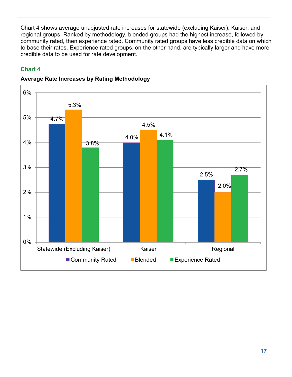Chart 4 shows average unadjusted rate increases for statewide (excluding Kaiser), Kaiser, and regional groups. Ranked by methodology, blended groups had the highest increase, followed by community rated, then experience rated. Community rated groups have less credible data on which to base their rates. Experience rated groups, on the other hand, are typically larger and have more credible data to be used for rate development.

## **Chart 4**



### **Average Rate Increases by Rating Methodology**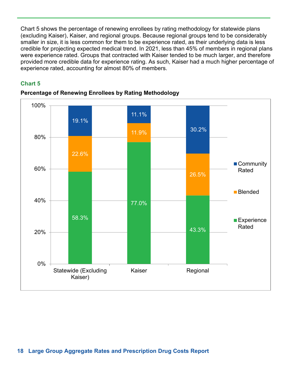Chart 5 shows the percentage of renewing enrollees by rating methodology for statewide plans (excluding Kaiser), Kaiser, and regional groups. Because regional groups tend to be considerably smaller in size, it is less common for them to be experience rated, as their underlying data is less credible for projecting expected medical trend. In 2021, less than 45% of members in regional plans were experience rated. Groups that contracted with Kaiser tended to be much larger, and therefore provided more credible data for experience rating. As such, Kaiser had a much higher percentage of experience rated, accounting for almost 80% of members.

#### **Chart 5**



#### **Percentage of Renewing Enrollees by Rating Methodology**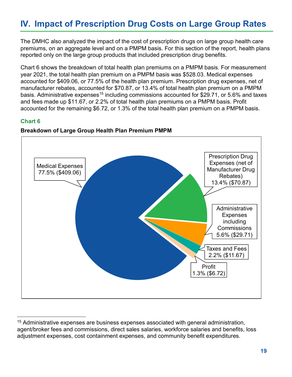## **IV. Impact of Prescription Drug Costs on Large Group Rates**

The DMHC also analyzed the impact of the cost of prescription drugs on large group health care premiums, on an aggregate level and on a PMPM basis. For this section of the report, health plans reported only on the large group products that included prescription drug benefits.

Chart 6 shows the breakdown of total health plan premiums on a PMPM basis. For measurement year 2021, the total health plan premium on a PMPM basis was \$528.03. Medical expenses accounted for \$409.06, or 77.5% of the health plan premium. Prescription drug expenses, net of manufacturer rebates, accounted for \$70.87, or 13.4% of total health plan premium on a PMPM basis. Administrative expenses<sup>15</sup> including commissions accounted for \$29.71, or 5.6% and taxes and fees made up \$11.67, or 2.2% of total health plan premiums on a PMPM basis. Profit accounted for the remaining \$6.72, or 1.3% of the total health plan premium on a PMPM basis.

#### **Chart 6**



#### **Breakdown of Large Group Health Plan Premium PMPM**

<sup>&</sup>lt;sup>15</sup> Administrative expenses are business expenses associated with general administration, agent/broker fees and commissions, direct sales salaries, workforce salaries and benefits, loss adjustment expenses, cost containment expenses, and community benefit expenditures.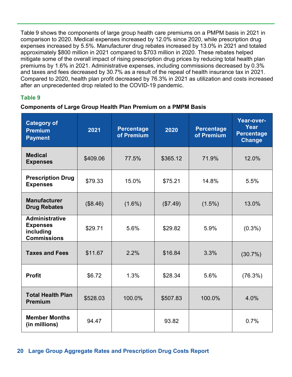Table 9 shows the components of large group health care premiums on a PMPM basis in 2021 in comparison to 2020. Medical expenses increased by 12.0% since 2020, while prescription drug expenses increased by 5.5%. Manufacturer drug rebates increased by 13.0% in 2021 and totaled approximately \$800 million in 2021 compared to \$703 million in 2020. These rebates helped mitigate some of the overall impact of rising prescription drug prices by reducing total health plan premiums by 1.6% in 2021. Administrative expenses, including commissions decreased by 0.3% and taxes and fees decreased by 30.7% as a result of the repeal of health insurance tax in 2021. Compared to 2020, health plan profit decreased by 76.3% in 2021 as utilization and costs increased after an unprecedented drop related to the COVID-19 pandemic.

#### **Table 9**

#### **Components of Large Group Health Plan Premium on a PMPM Basis**

| <b>Category of</b><br><b>Premium</b><br><b>Payment</b>                      | 2021     | <b>Percentage</b><br>of Premium | 2020     | <b>Percentage</b><br>of Premium | Year-over-<br>Year<br><b>Percentage</b><br><b>Change</b> |
|-----------------------------------------------------------------------------|----------|---------------------------------|----------|---------------------------------|----------------------------------------------------------|
| <b>Medical</b><br><b>Expenses</b>                                           | \$409.06 | 77.5%                           | \$365.12 | 71.9%                           | 12.0%                                                    |
| <b>Prescription Drug</b><br><b>Expenses</b>                                 | \$79.33  | 15.0%                           | \$75.21  | 14.8%                           | 5.5%                                                     |
| <b>Manufacturer</b><br><b>Drug Rebates</b>                                  | (\$8.46) | $(1.6\%)$                       | (\$7.49) | $(1.5\%)$                       | 13.0%                                                    |
| <b>Administrative</b><br><b>Expenses</b><br>including<br><b>Commissions</b> | \$29.71  | 5.6%                            | \$29.82  | 5.9%                            | $(0.3\%)$                                                |
| <b>Taxes and Fees</b>                                                       | \$11.67  | 2.2%                            | \$16.84  | 3.3%                            | (30.7%)                                                  |
| <b>Profit</b>                                                               | \$6.72   | 1.3%                            | \$28.34  | 5.6%                            | (76.3%)                                                  |
| <b>Total Health Plan</b><br><b>Premium</b>                                  | \$528.03 | 100.0%                          | \$507.83 | 100.0%                          | 4.0%                                                     |
| <b>Member Months</b><br>(in millions)                                       | 94.47    |                                 | 93.82    |                                 | 0.7%                                                     |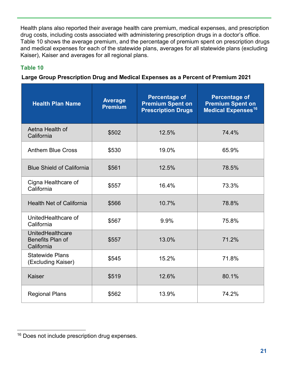Health plans also reported their average health care premium, medical expenses, and prescription drug costs, including costs associated with administering prescription drugs in a doctor's office. Table 10 shows the average premium, and the percentage of premium spent on prescription drugs and medical expenses for each of the statewide plans, averages for all statewide plans (excluding Kaiser), Kaiser and averages for all regional plans.

## **Table 10**

#### **Large Group Prescription Drug and Medical Expenses as a Percent of Premium 2021**

| <b>Health Plan Name</b>                            | <b>Average</b><br><b>Premium</b> | <b>Percentage of</b><br><b>Premium Spent on</b><br><b>Prescription Drugs</b> | <b>Percentage of</b><br><b>Premium Spent on</b><br><b>Medical Expenses<sup>16</sup></b> |
|----------------------------------------------------|----------------------------------|------------------------------------------------------------------------------|-----------------------------------------------------------------------------------------|
| Aetna Health of<br>California                      | \$502                            | 12.5%                                                                        | 74.4%                                                                                   |
| <b>Anthem Blue Cross</b>                           | \$530                            | 19.0%                                                                        | 65.9%                                                                                   |
| <b>Blue Shield of California</b>                   | \$561                            | 12.5%                                                                        | 78.5%                                                                                   |
| Cigna Healthcare of<br>California                  | \$557                            | 16.4%                                                                        | 73.3%                                                                                   |
| <b>Health Net of California</b>                    | \$566                            | 10.7%                                                                        | 78.8%                                                                                   |
| UnitedHealthcare of<br>California                  | \$567                            | 9.9%                                                                         | 75.8%                                                                                   |
| UnitedHealthcare<br>Benefits Plan of<br>California | \$557                            | 13.0%                                                                        | 71.2%                                                                                   |
| <b>Statewide Plans</b><br>(Excluding Kaiser)       | \$545                            | 15.2%                                                                        | 71.8%                                                                                   |
| Kaiser                                             | \$519                            | 12.6%                                                                        | 80.1%                                                                                   |
| <b>Regional Plans</b>                              | \$562                            | 13.9%                                                                        | 74.2%                                                                                   |

<sup>&</sup>lt;sup>16</sup> Does not include prescription drug expenses.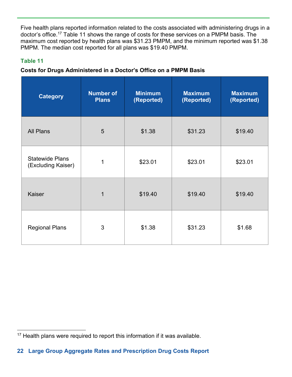Five health plans reported information related to the costs associated with administering drugs in a doctor's office.17 Table 11 shows the range of costs for these services on a PMPM basis. The maximum cost reported by health plans was \$31.23 PMPM, and the minimum reported was \$1.38 PMPM. The median cost reported for all plans was \$19.40 PMPM.

### **Table 11**

### **Costs for Drugs Administered in a Doctor's Office on a PMPM Basis**

| <b>Category</b>                              | <b>Number of</b><br><b>Plans</b> | <b>Minimum</b><br>(Reported) | <b>Maximum</b><br>(Reported) | <b>Maximum</b><br>(Reported) |
|----------------------------------------------|----------------------------------|------------------------------|------------------------------|------------------------------|
| <b>All Plans</b>                             | 5                                | \$1.38                       | \$31.23                      | \$19.40                      |
| <b>Statewide Plans</b><br>(Excluding Kaiser) | 1                                | \$23.01                      | \$23.01                      | \$23.01                      |
| Kaiser                                       | $\overline{1}$                   | \$19.40                      | \$19.40                      | \$19.40                      |
| <b>Regional Plans</b>                        | 3                                | \$1.38                       | \$31.23                      | \$1.68                       |

<sup>&</sup>lt;sup>17</sup> Health plans were required to report this information if it was available.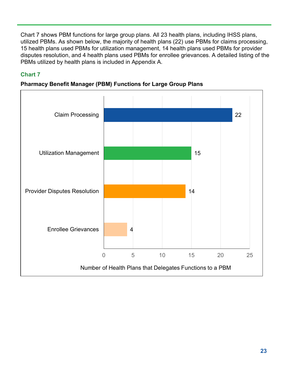Chart 7 shows PBM functions for large group plans. All 23 health plans, including IHSS plans, utilized PBMs. As shown below, the majority of health plans (22) use PBMs for claims processing, 15 health plans used PBMs for utilization management, 14 health plans used PBMs for provider disputes resolution, and 4 health plans used PBMs for enrollee grievances. A detailed listing of the PBMs utilized by health plans is included in Appendix A.

## **Chart 7**



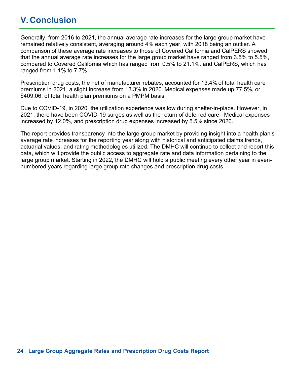## **V. Conclusion**

Generally, from 2016 to 2021, the annual average rate increases for the large group market have remained relatively consistent, averaging around 4% each year, with 2018 being an outlier. A comparison of these average rate increases to those of Covered California and CalPERS showed that the annual average rate increases for the large group market have ranged from 3.5% to 5.5%, compared to Covered California which has ranged from 0.5% to 21.1%, and CalPERS, which has ranged from 1.1% to 7.7%.

Prescription drug costs, the net of manufacturer rebates, accounted for 13.4% of total health care premiums in 2021, a slight increase from 13.3% in 2020. Medical expenses made up 77.5%, or \$409.06, of total health plan premiums on a PMPM basis.

Due to COVID-19, in 2020, the utilization experience was low during shelter-in-place. However, in 2021, there have been COVID-19 surges as well as the return of deferred care. Medical expenses increased by 12.0%, and prescription drug expenses increased by 5.5% since 2020.

The report provides transparency into the large group market by providing insight into a health plan's average rate increases for the reporting year along with historical and anticipated claims trends, actuarial values, and rating methodologies utilized. The DMHC will continue to collect and report this data, which will provide the public access to aggregate rate and data information pertaining to the large group market. Starting in 2022, the DMHC will hold a public meeting every other year in evennumbered years regarding large group rate changes and prescription drug costs.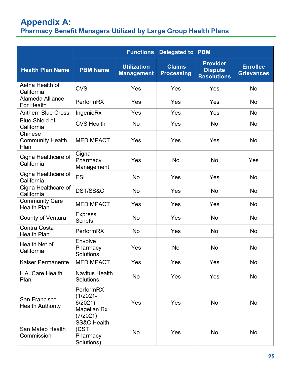## **Appendix A: Pharmacy Benefit Managers Utilized by Large Group Health Plans**

|                                             | <b>Functions</b><br><b>Delegated to PBM</b>                   |                                         |                                    |                                                         |                                      |
|---------------------------------------------|---------------------------------------------------------------|-----------------------------------------|------------------------------------|---------------------------------------------------------|--------------------------------------|
| <b>Health Plan Name</b>                     | <b>PBM Name</b>                                               | <b>Utilization</b><br><b>Management</b> | <b>Claims</b><br><b>Processing</b> | <b>Provider</b><br><b>Dispute</b><br><b>Resolutions</b> | <b>Enrollee</b><br><b>Grievances</b> |
| Aetna Health of<br>California               | <b>CVS</b>                                                    | Yes                                     | Yes                                | Yes                                                     | <b>No</b>                            |
| Alameda Alliance<br>For Health              | PerformRX                                                     | Yes                                     | Yes                                | Yes                                                     | <b>No</b>                            |
| <b>Anthem Blue Cross</b>                    | IngenioRx                                                     | Yes                                     | Yes                                | Yes                                                     | <b>No</b>                            |
| <b>Blue Shield of</b><br>California         | <b>CVS Health</b>                                             | No                                      | Yes                                | <b>No</b>                                               | No                                   |
| Chinese<br><b>Community Health</b><br>Plan  | <b>MEDIMPACT</b>                                              | Yes                                     | Yes                                | Yes                                                     | <b>No</b>                            |
| Cigna Healthcare of<br>California           | Cigna<br>Pharmacy<br>Management                               | Yes                                     | <b>No</b>                          | <b>No</b>                                               | Yes                                  |
| Cigna Healthcare of<br>California           | <b>ESI</b>                                                    | <b>No</b>                               | Yes                                | Yes                                                     | <b>No</b>                            |
| Cigna Healthcare of<br>California           | DST/SS&C                                                      | <b>No</b>                               | Yes                                | <b>No</b>                                               | <b>No</b>                            |
| <b>Community Care</b><br><b>Health Plan</b> | <b>MEDIMPACT</b>                                              | Yes                                     | Yes                                | Yes                                                     | No                                   |
| County of Ventura                           | <b>Express</b><br><b>Scripts</b>                              | <b>No</b>                               | Yes                                | No                                                      | <b>No</b>                            |
| Contra Costa<br><b>Health Plan</b>          | PerformRX                                                     | <b>No</b>                               | Yes                                | <b>No</b>                                               | <b>No</b>                            |
| Health Net of<br>California                 | Envolve<br>Pharmacy<br>Solutions                              | Yes                                     | No                                 | <b>No</b>                                               | <b>No</b>                            |
| <b>Kaiser Permanente</b>                    | <b>MEDIMPACT</b>                                              | Yes                                     | Yes                                | Yes                                                     | No                                   |
| L.A. Care Health<br>Plan                    | <b>Navitus Health</b><br><b>Solutions</b>                     | No                                      | Yes                                | Yes                                                     | No                                   |
| San Francisco<br><b>Health Authority</b>    | PerformRX<br>$(1/2021 -$<br>6/2021<br>Magellan Rx<br>(7/2021) | Yes                                     | Yes                                | No                                                      | No                                   |
| San Mateo Health<br>Commission              | <b>SS&amp;C Health</b><br>(DST<br>Pharmacy<br>Solutions)      | No                                      | Yes                                | No                                                      | No                                   |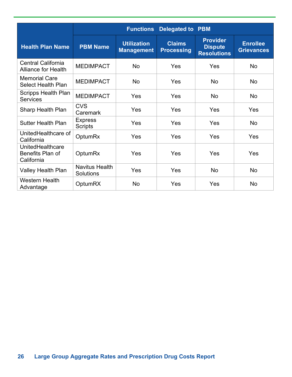|                                                         | <b>Delegated to PBM</b><br><b>Functions</b> |                                         |                                    |                                                         |                                      |
|---------------------------------------------------------|---------------------------------------------|-----------------------------------------|------------------------------------|---------------------------------------------------------|--------------------------------------|
| <b>Health Plan Name</b>                                 | <b>PBM Name</b>                             | <b>Utilization</b><br><b>Management</b> | <b>Claims</b><br><b>Processing</b> | <b>Provider</b><br><b>Dispute</b><br><b>Resolutions</b> | <b>Enrollee</b><br><b>Grievances</b> |
| <b>Central California</b><br><b>Alliance for Health</b> | <b>MEDIMPACT</b>                            | <b>No</b>                               | Yes                                | Yes                                                     | <b>No</b>                            |
| <b>Memorial Care</b><br><b>Select Health Plan</b>       | <b>MEDIMPACT</b>                            | <b>No</b>                               | Yes                                | <b>No</b>                                               | <b>No</b>                            |
| <b>Scripps Health Plan</b><br><b>Services</b>           | <b>MEDIMPACT</b>                            | Yes                                     | Yes                                | <b>No</b>                                               | <b>No</b>                            |
| Sharp Health Plan                                       | <b>CVS</b><br>Caremark                      | Yes                                     | Yes                                | Yes                                                     | Yes                                  |
| <b>Sutter Health Plan</b>                               | <b>Express</b><br><b>Scripts</b>            | Yes                                     | Yes                                | Yes                                                     | No                                   |
| UnitedHealthcare of<br>California                       | <b>OptumRx</b>                              | Yes                                     | Yes                                | Yes                                                     | Yes                                  |
| UnitedHealthcare<br>Benefits Plan of<br>California      | OptumRx                                     | Yes                                     | Yes                                | Yes                                                     | Yes                                  |
| Valley Health Plan                                      | <b>Navitus Health</b><br>Solutions          | Yes                                     | <b>Yes</b>                         | No                                                      | <b>No</b>                            |
| <b>Western Health</b><br>Advantage                      | <b>OptumRX</b>                              | <b>No</b>                               | Yes                                | Yes                                                     | <b>No</b>                            |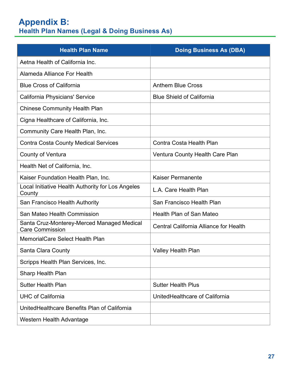## **Appendix B: Health Plan Names (Legal & Doing Business As)**

| <b>Health Plan Name</b>                                              | <b>Doing Business As (DBA)</b>         |
|----------------------------------------------------------------------|----------------------------------------|
| Aetna Health of California Inc.                                      |                                        |
| Alameda Alliance For Health                                          |                                        |
| <b>Blue Cross of California</b>                                      | <b>Anthem Blue Cross</b>               |
| California Physicians' Service                                       | <b>Blue Shield of California</b>       |
| <b>Chinese Community Health Plan</b>                                 |                                        |
| Cigna Healthcare of California, Inc.                                 |                                        |
| Community Care Health Plan, Inc.                                     |                                        |
| <b>Contra Costa County Medical Services</b>                          | <b>Contra Costa Health Plan</b>        |
| County of Ventura                                                    | <b>Ventura County Health Care Plan</b> |
| Health Net of California, Inc.                                       |                                        |
| Kaiser Foundation Health Plan, Inc.                                  | <b>Kaiser Permanente</b>               |
| Local Initiative Health Authority for Los Angeles<br>County          | L.A. Care Health Plan                  |
| San Francisco Health Authority                                       | San Francisco Health Plan              |
| San Mateo Health Commission                                          | <b>Health Plan of San Mateo</b>        |
| Santa Cruz-Monterey-Merced Managed Medical<br><b>Care Commission</b> | Central California Alliance for Health |
| <b>MemorialCare Select Health Plan</b>                               |                                        |
| <b>Santa Clara County</b>                                            | <b>Valley Health Plan</b>              |
| Scripps Health Plan Services, Inc.                                   |                                        |
| <b>Sharp Health Plan</b>                                             |                                        |
| <b>Sutter Health Plan</b>                                            | <b>Sutter Health Plus</b>              |
| <b>UHC of California</b>                                             | UnitedHealthcare of California         |
| United Healthcare Benefits Plan of California                        |                                        |
| Western Health Advantage                                             |                                        |